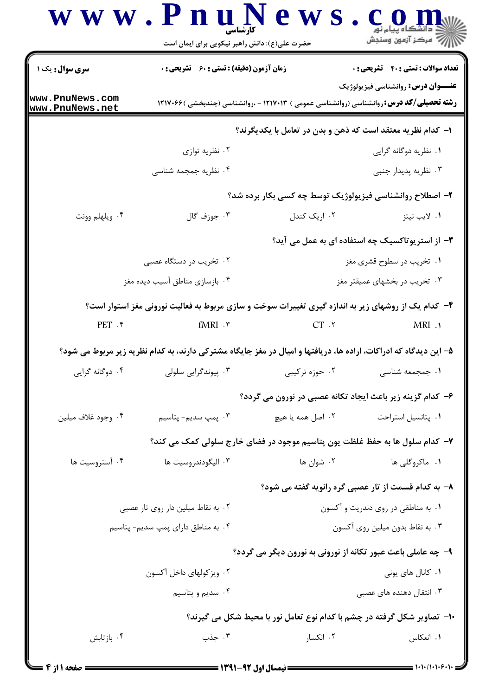## www.PnuN  $e$  w s.  $c_{\text{shock}}$ حضرت علی(ع): دانش راهبر نیکویی برای ایمان است **تعداد سوالات : تستي : 40 - تشريحي : 0** سری سوال: یک ۱ **زمان آزمون (دقیقه) : تستی : 60 گشریحی: 0 عنــوان درس:** روانشناسی فیزیولوژیک www.PnuNews.com **رشته تحصیلی/کد درس: روانشناسی (روانشناسی عمومی ) ۱۲۱۷۰۱۳ - ،روانشناسی (چندبخشی )۱۲۱۷۰۶۶** www.PnuNews.net ا- كدام نظريه معتقد است كه ذهن و بدن در تعامل با يكديگرند؟ ۰۲ نظریه توازی ۱. نظریه دوگانه گرایی ۰۴ نظریه جمجمه شناسی ۰۳ نظریه پدیدار جنبی ۲- اصطلاح روانشناسی فیزیولوژیک توسط چه کسی بکار برده شد؟ ۲. ا<sub>د</sub>یک کندل ۰۱ لايب نيتز ۰۴ ویلهلم وونت ۰۳ جوزف گال ۳- از استریوتاکسیک چه استفاده ای به عمل می آید؟ ۰۲ تخریب در دستگاه عصبی ۰۱ تخریب در سطوح قشری مغز ۰۴ بازسازی مناطق آسیب دیده مغز ۰۳ تخریب در بخشهای عمیقتر مغز ۴- کدام یک از روشهای زیر به اندازه گیری تغییرات سوخت و سازی مربوط به فعالیت نورونی مغز استوار است؟  $PET$ . ۴  $fMRI$ .  $\tau$  $CT.7$  $MRI$ . ۵– این دیدگاه که ادراکات، اراده ها، دریافتها و امیال در مغز جایگاه مشترکی دارند، به کدام نظریه زیر مربوط می شود؟ ۰۳ پیوندگرایی سلولی ۰۴ دوگانه گرایی ۰۲ حوزه ترکیبی ۰۱ جمجمعه شناسی ۶– کدام گزینه زیر باعث ایجاد تکانه عصبی در نورون می گردد؟ ۰۴ وجود غلاف میلین ۰۲ اصل همه یا هیچ ۰۳ پمپ سدیم- پتاسیم ۰۱ يتانسيل استراحت ۷– کدام سلول ها به حفظ غلظت یون پتاسیم موجود در فضای خارج سلولی کمک می کند؟ ۰۲ شوان ها ۰۴ آستروسیت ها ۰۱ ماکروگلی ها ۰۳ اليگودندروسيت ها ٨- به کدام قسمت از تار عصبي گره رانويه گفته مي شود؟ ۰۲ به نقاط میلین دار روی تار عصبی ۰۱ به مناطقی در روی دندریت و آکسون ۰۴ به مناطق دارای پمپ سدیم- پتاسیم ۰۳ به نقاط بدون میلین روی آکسون ۹- چه عاملي باعث عبور تکانه از نوروني به نورون ديگر مي گردد؟ ۰۲ ویز کولهای داخل آکسون ۰۱ کانال های یونی ۰۴ سدیم و پتاسیم ۰۳ انتقال دهنده های عصبی **۱۰- تصاویر شکل گرفته در چشم با کدام نوع تعامل نور با محیط شکل می گیرند؟** ۰۳ جذب ۰۲ انکسا, ۰۴ باز تابش ۰۱ انعکاس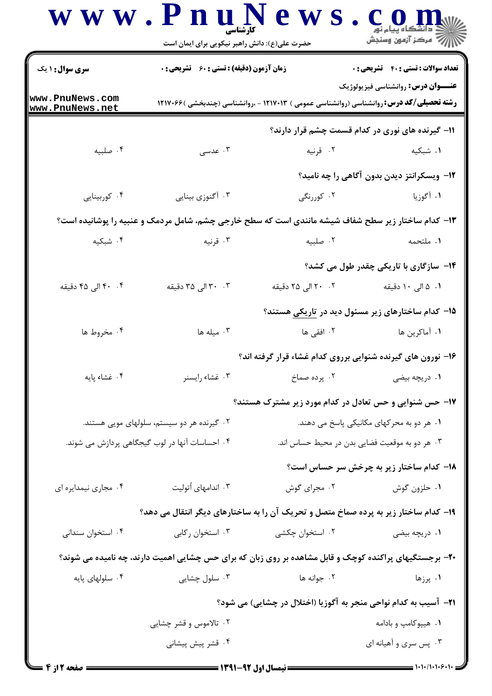|                                                | حضرت علی(ع): دانش راهبر نیکویی برای ایمان است                                                          |                                                                                                 | <i>ا  7</i> مرڪز آزمون وسنڊش                 |  |
|------------------------------------------------|--------------------------------------------------------------------------------------------------------|-------------------------------------------------------------------------------------------------|----------------------------------------------|--|
| <b>سری سوال : ۱ یک</b>                         | <b>زمان آزمون (دقیقه) : تستی : 60 ٪ تشریحی : 0</b>                                                     |                                                                                                 | <b>تعداد سوالات : تستی : 40 ٪ تشریحی : 0</b> |  |
| www.PnuNews.com<br>www.PnuNews.net             |                                                                                                        | <b>رشته تحصیلی/کد درس: روان</b> شناسی (روانشناسی عمومی ) ۱۲۱۷۰۱۳ - ،روانشناسی (چندبخشی )۱۲۱۷۰۶۶ | <b>عنـــوان درس:</b> روانشناسي فيزيولوژيک    |  |
|                                                |                                                                                                        | ۱۱– گیرنده های نوری در کدام قسمت چشم قرار دارند؟                                                |                                              |  |
| ۰۴ صلبيه                                       | ۰۳ عدسی                                                                                                | ۰۲ قرنیه                                                                                        | ۰۱ شبکیه                                     |  |
|                                                |                                                                                                        |                                                                                                 | ۱۲- ویسکرانتز دیدن بدون آگاهی را چه نامید؟   |  |
| ۰۴ کوربینایی                                   | ۰۳ آگنوزی بینایی                                                                                       | ۰۲ کوررنگی                                                                                      | ۰۱ آگوزیا                                    |  |
|                                                | ۱۳- کدام ساختار زیر سطح شفاف شیشه مانندی است که سطح خارجی چشم، شامل مردمک و عنبیه را پوشانیده است؟     |                                                                                                 |                                              |  |
| ۰۴ شبکیه                                       | ۰۳ قرنیه                                                                                               | ۰۲ صلبيه                                                                                        | ٠١. ملتحمه                                   |  |
|                                                |                                                                                                        |                                                                                                 | ۱۴– سازگاری با تاریکی چقدر طول می کشد؟       |  |
| ۴. ۴۰ الی ۴۵ دقیقه                             | ۰۳ ۲۰ الی ۳۵ دقیقه                                                                                     | ۲۰ ۲۰ الی ۲۵ دقیقه                                                                              | ۰۱ ۵ الی ۱۰ دقیقه                            |  |
|                                                |                                                                                                        | ۱۵– کدام ساختارهای زیر مسئول دید در تاریکی هستند؟                                               |                                              |  |
| ۰۴ مخروط ها                                    | . میله ها                                                                                              | ۰۲ افقی ها                                                                                      | ۰۱ آماکرین ها                                |  |
|                                                | ۱۶– نورون های گیرنده شنوایی برروی کدام غشاء قرار گرفته اند؟                                            |                                                                                                 |                                              |  |
| ۰۴ غشاء پایه                                   | ۰۳ غشاء رايسنر                                                                                         | ۰ <b>۱</b> دریچه بیضی <b>پرده در این</b> مسلخ (۲۰ سماخ                                          |                                              |  |
|                                                |                                                                                                        | ۱۷- حس شنوایی و حس تعادل در کدام مورد زیر مشترک هستند؟                                          |                                              |  |
| ۰۲ گیرنده هر دو سیستم، سلولهای مویی هستند.     |                                                                                                        | ۰۱ هر دو به محرکهای مکانیکی پاسخ می دهند.                                                       |                                              |  |
| ۰۴ احساسات آنها در لوب گیجگاهی پردازش می شوند. |                                                                                                        | ۰۳ هر دو به موقعیت فضایی بدن در محیط حساس اند.                                                  |                                              |  |
|                                                |                                                                                                        |                                                                                                 | ۱۸– کدام ساختار زیر به چرخش سر حساس است؟     |  |
| ۰۴ مجاری نیمدایره ای                           | ۰۳ اندامهای اُتولیت                                                                                    | ۰۲ مجرای گوش                                                                                    | ۰۱ حلزون گوش                                 |  |
|                                                | ۱۹- کدام ساختار زیر به پرده صماخ متصل و تحریک آن را به ساختارهای دیگر انتقال می دهد؟                   |                                                                                                 |                                              |  |
| ۰۴ استخوان سندانی                              | ۰۳ استخوان رکابی                                                                                       | ۰۲ استخوان چکشی                                                                                 | ۰۱ دریچه بیضی                                |  |
|                                                | ۲۰- برجستگیهای پراکنده کوچک و قابل مشاهده بر روی زبان که برای حس چشایی اهمیت دارند، چه نامیده می شوند؟ |                                                                                                 |                                              |  |
| ۰۴ سلولهای پایه                                | ۰۳ سلول چشایی                                                                                          | ۰۲ جوانه ها                                                                                     | ۰۱ پرزها                                     |  |
|                                                |                                                                                                        | <b>۲۱</b> – آسیب به کدام نواحی منجر به آگوزیا (اختلال در چشایی) می شود؟                         |                                              |  |
| ۰۲ تالاموس و قشر چشایی                         |                                                                                                        |                                                                                                 | ۰۱ هیپوکامپ و بادامه                         |  |
|                                                | ۰۴ قشر پیش پیشانی                                                                                      |                                                                                                 | ۰۳ پس سری و آهیانه ای                        |  |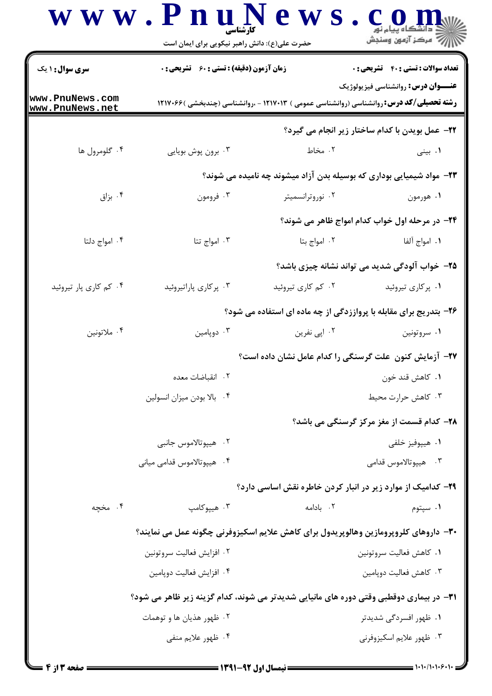|                                           | حضرت علی(ع): دانش راهبر نیکویی برای ایمان است                                                  |                                                                                                 | رآب آمرڪز آزمون وسنڊش                                  |
|-------------------------------------------|------------------------------------------------------------------------------------------------|-------------------------------------------------------------------------------------------------|--------------------------------------------------------|
| <b>سری سوال : ۱ یک</b>                    | <b>زمان آزمون (دقیقه) : تستی : 60 ٪ تشریحی : 0</b>                                             |                                                                                                 | <b>تعداد سوالات : تستي : 40 ٪ تشريحي : 0</b>           |
| www.PnuNews.com<br><u>www.PnuNews.net</u> |                                                                                                | <b>رشته تحصیلی/کد درس: روان</b> شناسی (روانشناسی عمومی ) ۱۲۱۷۰۱۳ - ،روانشناسی (چندبخشی )۱۲۱۷۰۶۶ | <b>عنـــوان درس:</b> روانشناسی فیزیولوژیک              |
|                                           |                                                                                                |                                                                                                 | <b>3۲- عمل بویدن با کدام ساختار زیر انجام می گیرد؟</b> |
| ۰۴ گلومرول ها                             | ۰۳ برون پوش بويايي                                                                             | ۰۲ مخاط                                                                                         | ۰۱ بینی                                                |
|                                           |                                                                                                | ۲۳– مواد شیمیایی بوداری که بوسیله بدن آزاد میشوند چه نامیده می شوند؟                            |                                                        |
| ۰۴ بزاق                                   | ۰۳ فرومون                                                                                      | ۰۲ نوروترانسمیتر                                                                                | ۰۱ هورمون                                              |
|                                           |                                                                                                |                                                                                                 | ۲۴- در مرحله اول خواب کدام امواج ظاهر می شوند؟         |
| ۰۴ امواج دلتا                             | ۰۳ امواج تتا                                                                                   | ٠٢ امواج بتا                                                                                    | ٠١. امواج آلفا                                         |
|                                           |                                                                                                |                                                                                                 | ۲۵– خواب آلودگی شدید می تواند نشانه چیزی باشد؟         |
| ۰۴ کم کاری پار تیروئید                    | ۰۳ پرکاری پاراتیروئید                                                                          | ۰۲ کم کاری تیروئید                                                                              | ۰۱ پرکاری تیروئید                                      |
|                                           |                                                                                                | ۲۶- بتدریج برای مقابله با پرواززدگی از چه ماده ای استفاده می شود؟                               |                                                        |
| ۰۴ ملاتونين                               | ۰۳ دوپامين                                                                                     | ۰۲ اپی نفرین                                                                                    | ۰۱ سروتونين                                            |
|                                           | ۲۷– آزمایش کنون علت گرسنگی را کدام عامل نشان داده است؟                                         |                                                                                                 |                                                        |
|                                           | ٢. انقباضات معده                                                                               |                                                                                                 | ۰۱ کاهش قند خون                                        |
|                                           | ۰۴ بالا بودن ميزان انسولين                                                                     |                                                                                                 | ۰۳ کاهش حرارت محیط                                     |
|                                           |                                                                                                |                                                                                                 | <b>۲۸- کدام قسمت از مغز مرکز گرسنگی می باشد؟</b>       |
|                                           | ۰۲ هيپوتالاموس جانبي                                                                           |                                                                                                 | ۰۱ هیپوفیز خلفی                                        |
|                                           | ۰۴ هيپوتالاموس قدامي مياني                                                                     |                                                                                                 | ۰۳ هيپوتالاموس قدامي                                   |
|                                           |                                                                                                | ۲۹- کدامیک از موارد زیر در انبار کردن خاطره نقش اساسی دارد؟                                     |                                                        |
| ۰۴ مخچه                                   | ۰۳ هییوکامپ                                                                                    | ٠٢. بادامه                                                                                      | ۰۱ سپتوم                                               |
|                                           | ۳۰– داروهای کلروپرومازین وهالوپریدول برای کاهش علایم اسکیزوفرنی چگونه عمل می نمایند؟           |                                                                                                 |                                                        |
|                                           | ۰۲ افزايش فعاليت سروتونين                                                                      |                                                                                                 | ٠١. كاهش فعاليت سروتونين                               |
|                                           | ۰۴ افزایش فعالیت دوپامین                                                                       |                                                                                                 | ۰۳ کاهش فعالیت دوپامین                                 |
|                                           | <b>۳۱</b> - در بیماری دوقطبی وقتی دوره های مانیایی شدیدتر می شوند، کدام گزینه زیر ظاهر می شود؟ |                                                                                                 |                                                        |
|                                           | ۰۲ ظهور هذيان ها و توهمات                                                                      |                                                                                                 | ۰۱ ظهور افسردگی شدیدتر                                 |
|                                           | ۰۴ ظهور علايم منفي                                                                             |                                                                                                 | ۰۳ ظهور علايم اسكيزوفرني                               |